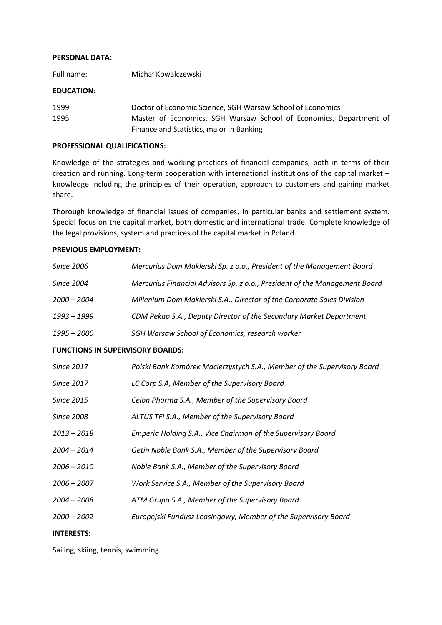### PERSONAL DATA:

Full name: Michał Kowalczewski

### EDUCATION:

| 1999 | Doctor of Economic Science, SGH Warsaw School of Economics         |
|------|--------------------------------------------------------------------|
| 1995 | Master of Economics, SGH Warsaw School of Economics, Department of |
|      | Finance and Statistics, major in Banking                           |

### PROFESSIONAL QUALIFICATIONS:

Knowledge of the strategies and working practices of financial companies, both in terms of their creation and running. Long-term cooperation with international institutions of the capital market – knowledge including the principles of their operation, approach to customers and gaining market share.

Thorough knowledge of financial issues of companies, in particular banks and settlement system. Special focus on the capital market, both domestic and international trade. Complete knowledge of the legal provisions, system and practices of the capital market in Poland.

# PREVIOUS EMPLOYMENT:

| Since 2006                              | Mercurius Dom Maklerski Sp. z o.o., President of the Management Board      |
|-----------------------------------------|----------------------------------------------------------------------------|
| Since 2004                              | Mercurius Financial Advisors Sp. z o.o., President of the Management Board |
| $2000 - 2004$                           | Millenium Dom Maklerski S.A., Director of the Corporate Sales Division     |
| 1993 - 1999                             | CDM Pekao S.A., Deputy Director of the Secondary Market Department         |
| 1995 – 2000                             | SGH Warsaw School of Economics, research worker                            |
| <b>FUNCTIONS IN SUPERVISORY BOARDS:</b> |                                                                            |
| <b>Since 2017</b>                       | Polski Bank Komórek Macierzystych S.A., Member of the Supervisory Board    |
| Since 2017                              | LC Corp S.A, Member of the Supervisory Board                               |
| Since 2015                              | Celon Pharma S.A., Member of the Supervisory Board                         |
| <b>Since 2008</b>                       | ALTUS TFI S.A., Member of the Supervisory Board                            |
| $2013 - 2018$                           | Emperia Holding S.A., Vice Chairman of the Supervisory Board               |

- 2004 2014 Getin Noble Bank S.A., Member of the Supervisory Board
- 2006 2010 Noble Bank S.A., Member of the Supervisory Board
- 2006 2007 Work Service S.A., Member of the Supervisory Board
- 2004 2008 ATM Grupa S.A., Member of the Supervisory Board
- 2000 2002 Europejski Fundusz Leasingowy, Member of the Supervisory Board

# INTERESTS:

Sailing, skiing, tennis, swimming.